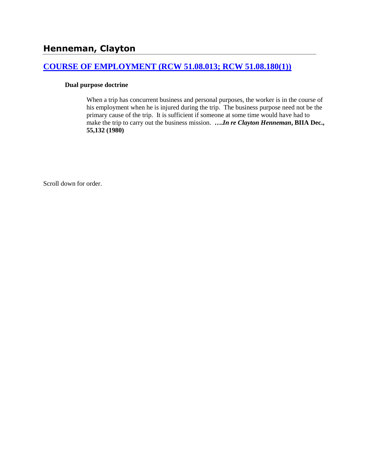### **[COURSE OF EMPLOYMENT \(RCW 51.08.013; RCW 51.08.180\(1\)\)](http://www.biia.wa.gov/SDSubjectIndex.html#COURSE_OF_EMPLOYMENT)**

### **Dual purpose doctrine**

When a trip has concurrent business and personal purposes, the worker is in the course of his employment when he is injured during the trip. The business purpose need not be the primary cause of the trip. It is sufficient if someone at some time would have had to make the trip to carry out the business mission. **….***In re Clayton Henneman***, BIIA Dec., 55,132 (1980)** 

Scroll down for order.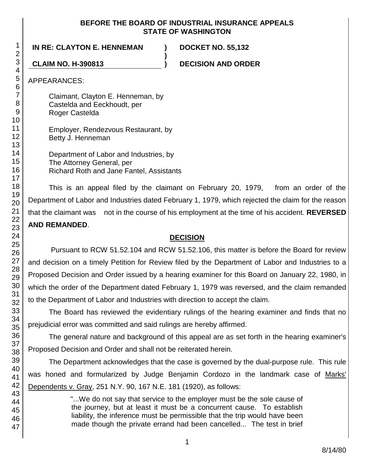### **BEFORE THE BOARD OF INDUSTRIAL INSURANCE APPEALS STATE OF WASHINGTON**

**)**

# **IN RE: CLAYTON E. HENNEMAN ) DOCKET NO. 55,132**

**CLAIM NO. H-390813 ) DECISION AND ORDER**

APPEARANCES:

Claimant, Clayton E. Henneman, by Castelda and Eeckhoudt, per Roger Castelda

Employer, Rendezvous Restaurant, by Betty J. Henneman

Department of Labor and Industries, by The Attorney General, per Richard Roth and Jane Fantel, Assistants

This is an appeal filed by the claimant on February 20, 1979, from an order of the Department of Labor and Industries dated February 1, 1979, which rejected the claim for the reason that the claimant was not in the course of his employment at the time of his accident. **REVERSED AND REMANDED**.

# **DECISION**

Pursuant to RCW 51.52.104 and RCW 51.52.106, this matter is before the Board for review and decision on a timely Petition for Review filed by the Department of Labor and Industries to a Proposed Decision and Order issued by a hearing examiner for this Board on January 22, 1980, in which the order of the Department dated February 1, 1979 was reversed, and the claim remanded to the Department of Labor and Industries with direction to accept the claim.

The Board has reviewed the evidentiary rulings of the hearing examiner and finds that no prejudicial error was committed and said rulings are hereby affirmed.

The general nature and background of this appeal are as set forth in the hearing examiner's Proposed Decision and Order and shall not be reiterated herein.

The Department acknowledges that the case is governed by the dual-purpose rule. This rule was honed and formularized by Judge Benjamin Cordozo in the landmark case of Marks' Dependents v. Gray, 251 N.Y. 90, 167 N.E. 181 (1920), as follows:

> "...We do not say that service to the employer must be the sole cause of the journey, but at least it must be a concurrent cause. To establish liability, the inference must be permissible that the trip would have been made though the private errand had been cancelled... The test in brief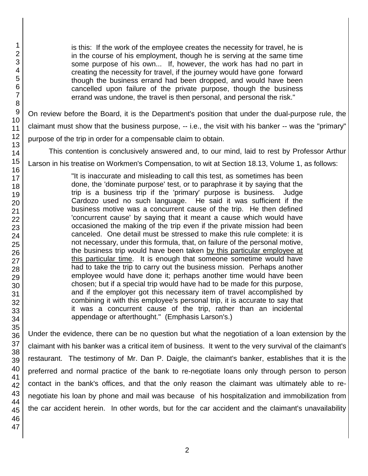is this: If the work of the employee creates the necessity for travel, he is in the course of his employment, though he is serving at the same time some purpose of his own... If, however, the work has had no part in creating the necessity for travel, if the journey would have gone forward though the business errand had been dropped, and would have been cancelled upon failure of the private purpose, though the business errand was undone, the travel is then personal, and personal the risk."

On review before the Board, it is the Department's position that under the dual-purpose rule, the claimant must show that the business purpose, -- i.e., the visit with his banker -- was the "primary" purpose of the trip in order for a compensable claim to obtain.

This contention is conclusively answered and, to our mind, laid to rest by Professor Arthur

Larson in his treatise on Workmen's Compensation, to wit at Section 18.13, Volume 1, as follows:

"It is inaccurate and misleading to call this test, as sometimes has been done, the 'dominate purpose' test, or to paraphrase it by saying that the trip is a business trip if the 'primary' purpose is business. Judge Cardozo used no such language. He said it was sufficient if the business motive was a concurrent cause of the trip. He then defined 'concurrent cause' by saying that it meant a cause which would have occasioned the making of the trip even if the private mission had been canceled. One detail must be stressed to make this rule complete: it is not necessary, under this formula, that, on failure of the personal motive, the business trip would have been taken by this particular employee at this particular time. It is enough that someone sometime would have had to take the trip to carry out the business mission. Perhaps another employee would have done it; perhaps another time would have been chosen; but if a special trip would have had to be made for this purpose, and if the employer got this necessary item of travel accomplished by combining it with this employee's personal trip, it is accurate to say that it was a concurrent cause of the trip, rather than an incidental appendage or afterthought." (Emphasis Larson's.)

Under the evidence, there can be no question but what the negotiation of a loan extension by the claimant with his banker was a critical item of business. It went to the very survival of the claimant's restaurant. The testimony of Mr. Dan P. Daigle, the claimant's banker, establishes that it is the preferred and normal practice of the bank to re-negotiate loans only through person to person contact in the bank's offices, and that the only reason the claimant was ultimately able to renegotiate his loan by phone and mail was because of his hospitalization and immobilization from the car accident herein. In other words, but for the car accident and the claimant's unavailability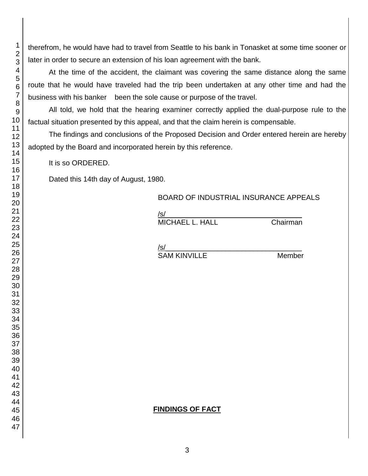therefrom, he would have had to travel from Seattle to his bank in Tonasket at some time sooner or later in order to secure an extension of his loan agreement with the bank.

At the time of the accident, the claimant was covering the same distance along the same route that he would have traveled had the trip been undertaken at any other time and had the business with his banker been the sole cause or purpose of the travel.

All told, we hold that the hearing examiner correctly applied the dual-purpose rule to the factual situation presented by this appeal, and that the claim herein is compensable.

The findings and conclusions of the Proposed Decision and Order entered herein are hereby adopted by the Board and incorporated herein by this reference.

It is so ORDERED.

Dated this 14th day of August, 1980.

## BOARD OF INDUSTRIAL INSURANCE APPEALS

/s/\_\_\_\_\_\_\_\_\_\_\_\_\_\_\_\_\_\_\_\_\_\_\_\_\_\_\_\_\_\_\_\_\_\_ MICHAEL L. HALL Chairman

/s/

SAM KINVILLE Member

# **FINDINGS OF FACT**